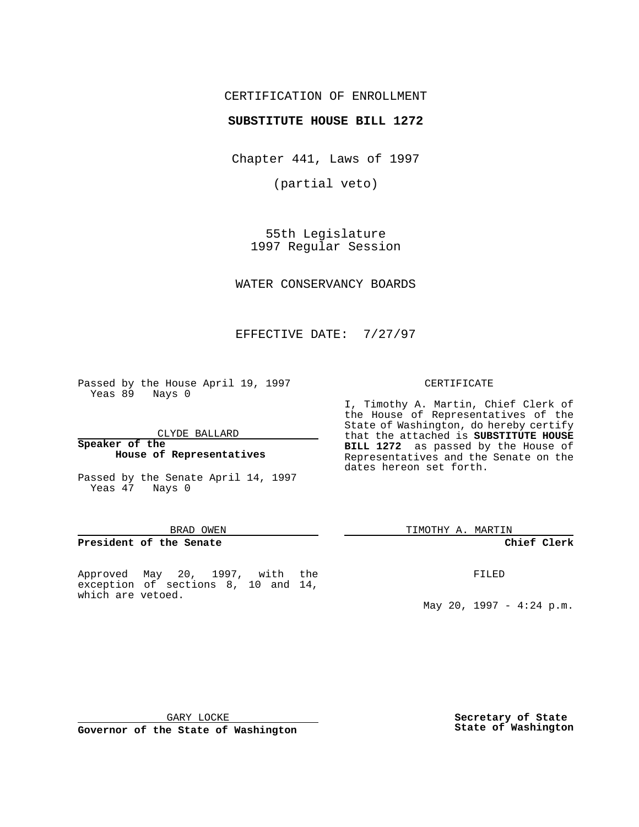# CERTIFICATION OF ENROLLMENT

## **SUBSTITUTE HOUSE BILL 1272**

Chapter 441, Laws of 1997

(partial veto)

55th Legislature 1997 Regular Session

WATER CONSERVANCY BOARDS

EFFECTIVE DATE: 7/27/97

Passed by the House April 19, 1997 Yeas 89 Nays 0

CLYDE BALLARD

**Speaker of the House of Representatives**

Passed by the Senate April 14, 1997 Yeas 47 Nays 0

#### BRAD OWEN

### **President of the Senate**

Approved May 20, 1997, with the exception of sections 8, 10 and 14, which are vetoed.

#### CERTIFICATE

I, Timothy A. Martin, Chief Clerk of the House of Representatives of the State of Washington, do hereby certify that the attached is **SUBSTITUTE HOUSE BILL 1272** as passed by the House of Representatives and the Senate on the dates hereon set forth.

TIMOTHY A. MARTIN

### **Chief Clerk**

FILED

May 20, 1997 - 4:24 p.m.

GARY LOCKE

**Governor of the State of Washington**

**Secretary of State State of Washington**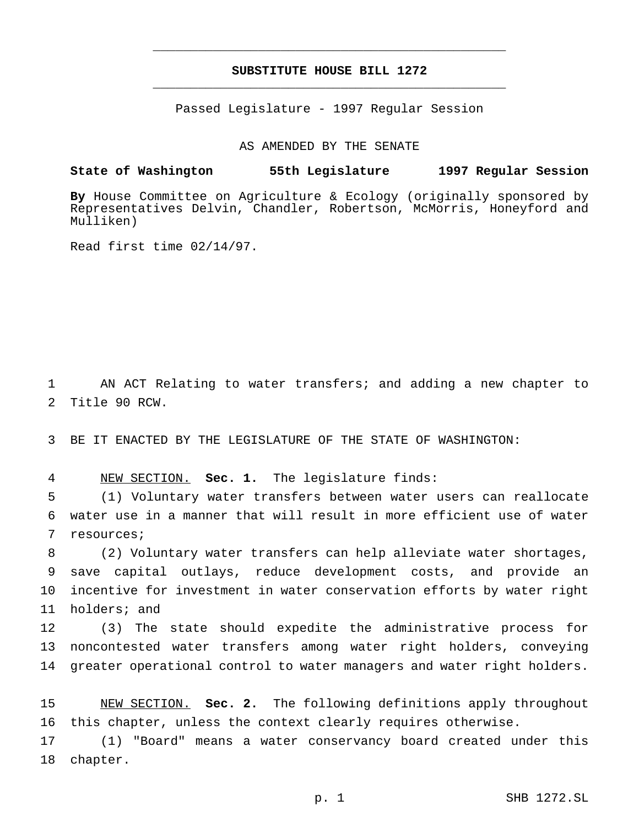# **SUBSTITUTE HOUSE BILL 1272** \_\_\_\_\_\_\_\_\_\_\_\_\_\_\_\_\_\_\_\_\_\_\_\_\_\_\_\_\_\_\_\_\_\_\_\_\_\_\_\_\_\_\_\_\_\_\_

\_\_\_\_\_\_\_\_\_\_\_\_\_\_\_\_\_\_\_\_\_\_\_\_\_\_\_\_\_\_\_\_\_\_\_\_\_\_\_\_\_\_\_\_\_\_\_

Passed Legislature - 1997 Regular Session

AS AMENDED BY THE SENATE

**State of Washington 55th Legislature 1997 Regular Session**

**By** House Committee on Agriculture & Ecology (originally sponsored by Representatives Delvin, Chandler, Robertson, McMorris, Honeyford and Mulliken)

Read first time 02/14/97.

 AN ACT Relating to water transfers; and adding a new chapter to Title 90 RCW.

BE IT ENACTED BY THE LEGISLATURE OF THE STATE OF WASHINGTON:

NEW SECTION. **Sec. 1.** The legislature finds:

 (1) Voluntary water transfers between water users can reallocate water use in a manner that will result in more efficient use of water resources;

 (2) Voluntary water transfers can help alleviate water shortages, save capital outlays, reduce development costs, and provide an incentive for investment in water conservation efforts by water right holders; and

 (3) The state should expedite the administrative process for noncontested water transfers among water right holders, conveying greater operational control to water managers and water right holders.

 NEW SECTION. **Sec. 2.** The following definitions apply throughout this chapter, unless the context clearly requires otherwise.

 (1) "Board" means a water conservancy board created under this chapter.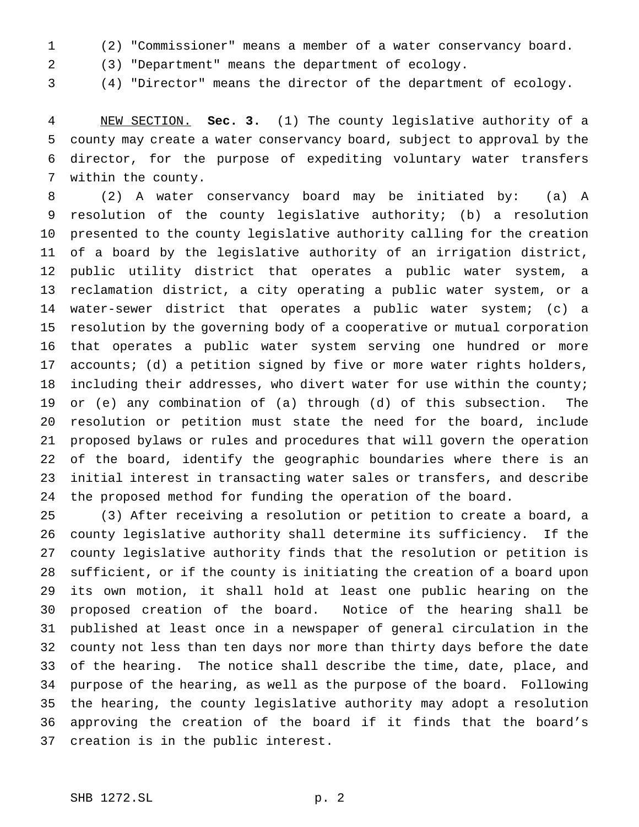- (2) "Commissioner" means a member of a water conservancy board.
- 
- (3) "Department" means the department of ecology.
- 

(4) "Director" means the director of the department of ecology.

 NEW SECTION. **Sec. 3.** (1) The county legislative authority of a county may create a water conservancy board, subject to approval by the director, for the purpose of expediting voluntary water transfers within the county.

 (2) A water conservancy board may be initiated by: (a) A resolution of the county legislative authority; (b) a resolution presented to the county legislative authority calling for the creation of a board by the legislative authority of an irrigation district, public utility district that operates a public water system, a reclamation district, a city operating a public water system, or a water-sewer district that operates a public water system; (c) a resolution by the governing body of a cooperative or mutual corporation that operates a public water system serving one hundred or more accounts; (d) a petition signed by five or more water rights holders, 18 including their addresses, who divert water for use within the county; or (e) any combination of (a) through (d) of this subsection. The resolution or petition must state the need for the board, include proposed bylaws or rules and procedures that will govern the operation of the board, identify the geographic boundaries where there is an initial interest in transacting water sales or transfers, and describe the proposed method for funding the operation of the board.

 (3) After receiving a resolution or petition to create a board, a county legislative authority shall determine its sufficiency. If the county legislative authority finds that the resolution or petition is sufficient, or if the county is initiating the creation of a board upon its own motion, it shall hold at least one public hearing on the proposed creation of the board. Notice of the hearing shall be published at least once in a newspaper of general circulation in the county not less than ten days nor more than thirty days before the date of the hearing. The notice shall describe the time, date, place, and purpose of the hearing, as well as the purpose of the board. Following the hearing, the county legislative authority may adopt a resolution approving the creation of the board if it finds that the board's creation is in the public interest.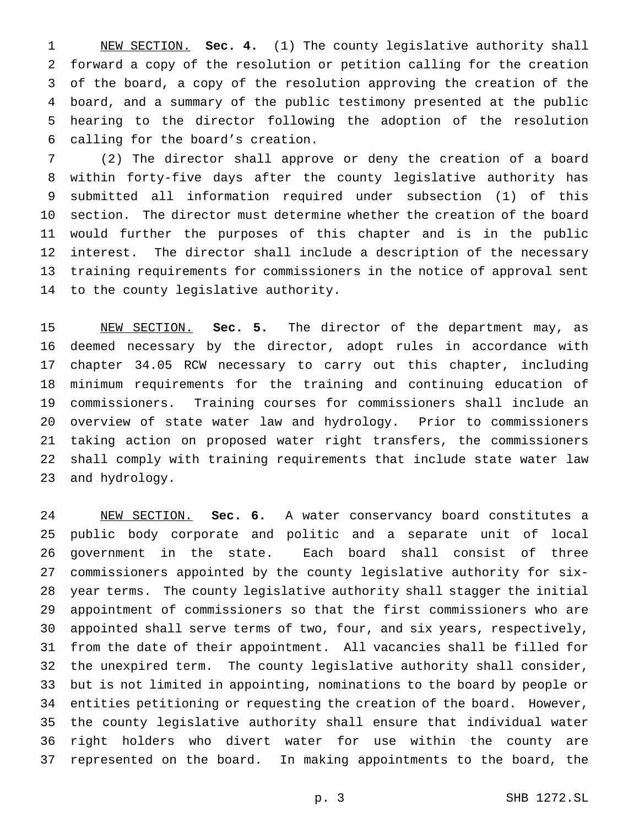NEW SECTION. **Sec. 4.** (1) The county legislative authority shall forward a copy of the resolution or petition calling for the creation of the board, a copy of the resolution approving the creation of the board, and a summary of the public testimony presented at the public hearing to the director following the adoption of the resolution calling for the board's creation.

 (2) The director shall approve or deny the creation of a board within forty-five days after the county legislative authority has submitted all information required under subsection (1) of this section. The director must determine whether the creation of the board would further the purposes of this chapter and is in the public interest. The director shall include a description of the necessary training requirements for commissioners in the notice of approval sent to the county legislative authority.

 NEW SECTION. **Sec. 5.** The director of the department may, as deemed necessary by the director, adopt rules in accordance with chapter 34.05 RCW necessary to carry out this chapter, including minimum requirements for the training and continuing education of commissioners. Training courses for commissioners shall include an overview of state water law and hydrology. Prior to commissioners taking action on proposed water right transfers, the commissioners shall comply with training requirements that include state water law and hydrology.

 NEW SECTION. **Sec. 6.** A water conservancy board constitutes a public body corporate and politic and a separate unit of local government in the state. Each board shall consist of three commissioners appointed by the county legislative authority for six- year terms. The county legislative authority shall stagger the initial appointment of commissioners so that the first commissioners who are appointed shall serve terms of two, four, and six years, respectively, from the date of their appointment. All vacancies shall be filled for the unexpired term. The county legislative authority shall consider, but is not limited in appointing, nominations to the board by people or entities petitioning or requesting the creation of the board. However, the county legislative authority shall ensure that individual water right holders who divert water for use within the county are represented on the board. In making appointments to the board, the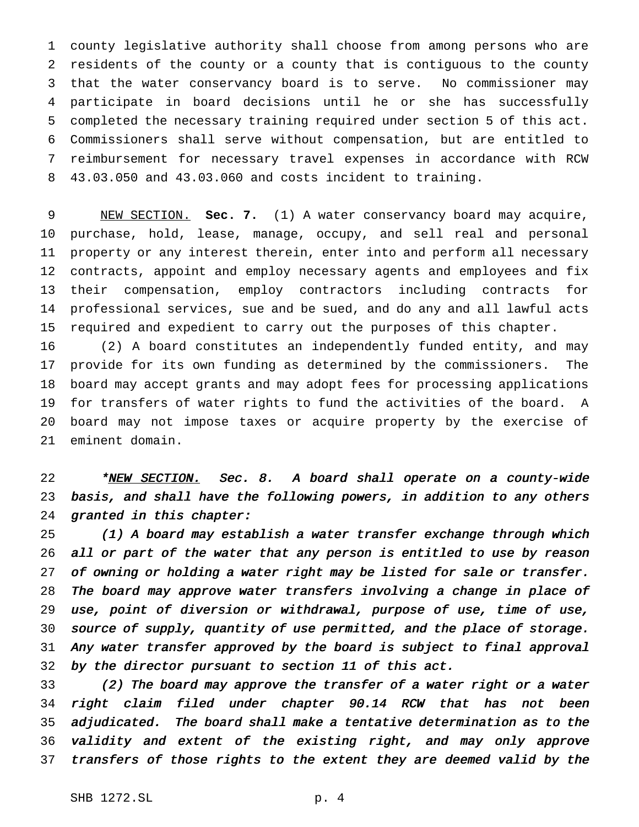county legislative authority shall choose from among persons who are residents of the county or a county that is contiguous to the county that the water conservancy board is to serve. No commissioner may participate in board decisions until he or she has successfully completed the necessary training required under section 5 of this act. Commissioners shall serve without compensation, but are entitled to reimbursement for necessary travel expenses in accordance with RCW 43.03.050 and 43.03.060 and costs incident to training.

 NEW SECTION. **Sec. 7.** (1) A water conservancy board may acquire, purchase, hold, lease, manage, occupy, and sell real and personal property or any interest therein, enter into and perform all necessary contracts, appoint and employ necessary agents and employees and fix their compensation, employ contractors including contracts for professional services, sue and be sued, and do any and all lawful acts required and expedient to carry out the purposes of this chapter.

 (2) A board constitutes an independently funded entity, and may provide for its own funding as determined by the commissioners. The board may accept grants and may adopt fees for processing applications for transfers of water rights to fund the activities of the board. A board may not impose taxes or acquire property by the exercise of eminent domain.

22 \*NEW SECTION. Sec. 8. A board shall operate on a county-wide basis, and shall have the following powers, in addition to any others granted in this chapter:

 (1) <sup>A</sup> board may establish <sup>a</sup> water transfer exchange through which all or part of the water that any person is entitled to use by reason of owning or holding <sup>a</sup> water right may be listed for sale or transfer. The board may approve water transfers involving <sup>a</sup> change in place of use, point of diversion or withdrawal, purpose of use, time of use, source of supply, quantity of use permitted, and the place of storage. Any water transfer approved by the board is subject to final approval by the director pursuant to section <sup>11</sup> of this act.

 (2) The board may approve the transfer of <sup>a</sup> water right or <sup>a</sup> water right claim filed under chapter 90.14 RCW that has not been adjudicated. The board shall make <sup>a</sup> tentative determination as to the validity and extent of the existing right, and may only approve transfers of those rights to the extent they are deemed valid by the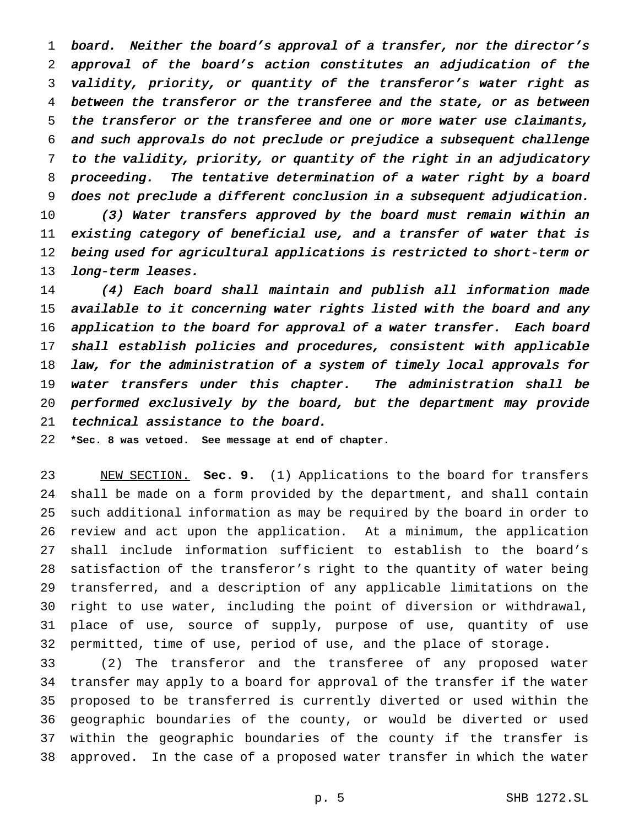board. Neither the board's approval of <sup>a</sup> transfer, nor the director's approval of the board's action constitutes an adjudication of the validity, priority, or quantity of the transferor's water right as between the transferor or the transferee and the state, or as between the transferor or the transferee and one or more water use claimants, and such approvals do not preclude or prejudice <sup>a</sup> subsequent challenge to the validity, priority, or quantity of the right in an adjudicatory proceeding. The tentative determination of <sup>a</sup> water right by <sup>a</sup> board does not preclude <sup>a</sup> different conclusion in <sup>a</sup> subsequent adjudication.

 (3) Water transfers approved by the board must remain within an existing category of beneficial use, and <sup>a</sup> transfer of water that is being used for agricultural applications is restricted to short-term or 13 long-term leases.

 (4) Each board shall maintain and publish all information made available to it concerning water rights listed with the board and any application to the board for approval of <sup>a</sup> water transfer. Each board shall establish policies and procedures, consistent with applicable law, for the administration of <sup>a</sup> system of timely local approvals for 19 water transfers under this chapter. The administration shall be performed exclusively by the board, but the department may provide technical assistance to the board.

**\*Sec. 8 was vetoed. See message at end of chapter.**

 NEW SECTION. **Sec. 9.** (1) Applications to the board for transfers shall be made on a form provided by the department, and shall contain such additional information as may be required by the board in order to review and act upon the application. At a minimum, the application shall include information sufficient to establish to the board's satisfaction of the transferor's right to the quantity of water being transferred, and a description of any applicable limitations on the right to use water, including the point of diversion or withdrawal, place of use, source of supply, purpose of use, quantity of use permitted, time of use, period of use, and the place of storage.

 (2) The transferor and the transferee of any proposed water transfer may apply to a board for approval of the transfer if the water proposed to be transferred is currently diverted or used within the geographic boundaries of the county, or would be diverted or used within the geographic boundaries of the county if the transfer is approved. In the case of a proposed water transfer in which the water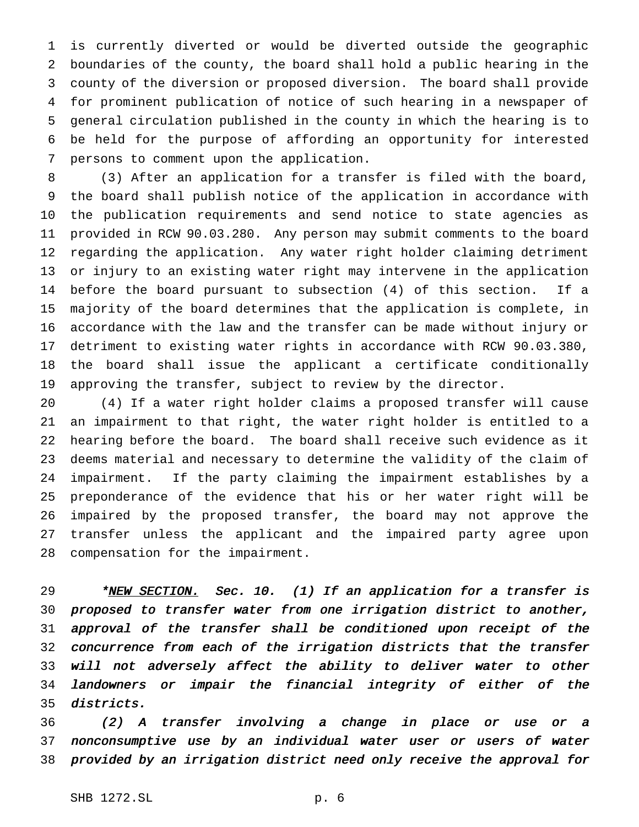is currently diverted or would be diverted outside the geographic boundaries of the county, the board shall hold a public hearing in the county of the diversion or proposed diversion. The board shall provide for prominent publication of notice of such hearing in a newspaper of general circulation published in the county in which the hearing is to be held for the purpose of affording an opportunity for interested persons to comment upon the application.

 (3) After an application for a transfer is filed with the board, the board shall publish notice of the application in accordance with the publication requirements and send notice to state agencies as provided in RCW 90.03.280. Any person may submit comments to the board regarding the application. Any water right holder claiming detriment or injury to an existing water right may intervene in the application before the board pursuant to subsection (4) of this section. If a majority of the board determines that the application is complete, in accordance with the law and the transfer can be made without injury or detriment to existing water rights in accordance with RCW 90.03.380, the board shall issue the applicant a certificate conditionally approving the transfer, subject to review by the director.

 (4) If a water right holder claims a proposed transfer will cause an impairment to that right, the water right holder is entitled to a hearing before the board. The board shall receive such evidence as it deems material and necessary to determine the validity of the claim of impairment. If the party claiming the impairment establishes by a preponderance of the evidence that his or her water right will be impaired by the proposed transfer, the board may not approve the transfer unless the applicant and the impaired party agree upon compensation for the impairment.

29 \*NEW SECTION. Sec. 10. (1) If an application for a transfer is proposed to transfer water from one irrigation district to another, approval of the transfer shall be conditioned upon receipt of the concurrence from each of the irrigation districts that the transfer will not adversely affect the ability to deliver water to other landowners or impair the financial integrity of either of the districts.

 (2) <sup>A</sup> transfer involving <sup>a</sup> change in place or use or <sup>a</sup> nonconsumptive use by an individual water user or users of water provided by an irrigation district need only receive the approval for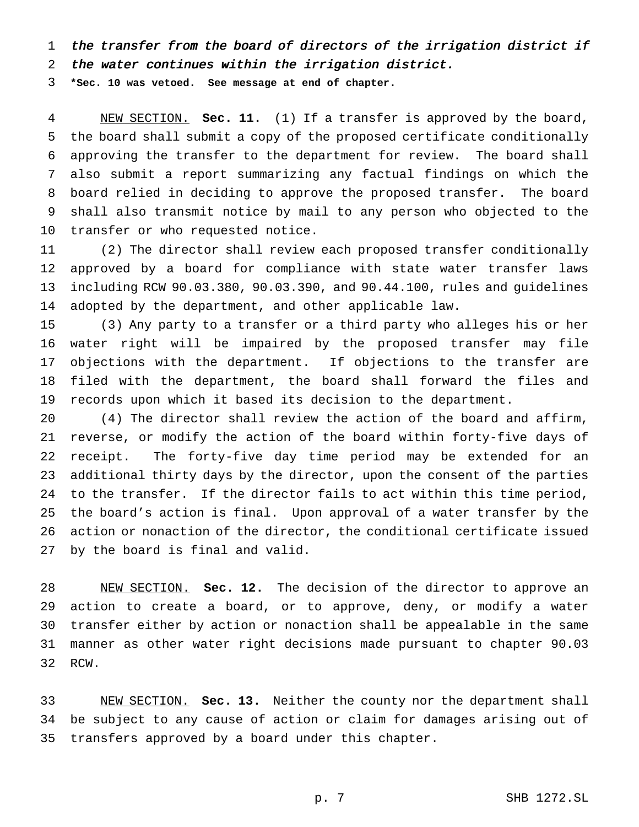the transfer from the board of directors of the irrigation district if

the water continues within the irrigation district.

**\*Sec. 10 was vetoed. See message at end of chapter.**

 NEW SECTION. **Sec. 11.** (1) If a transfer is approved by the board, the board shall submit a copy of the proposed certificate conditionally approving the transfer to the department for review. The board shall also submit a report summarizing any factual findings on which the board relied in deciding to approve the proposed transfer. The board shall also transmit notice by mail to any person who objected to the transfer or who requested notice.

 (2) The director shall review each proposed transfer conditionally approved by a board for compliance with state water transfer laws including RCW 90.03.380, 90.03.390, and 90.44.100, rules and guidelines adopted by the department, and other applicable law.

 (3) Any party to a transfer or a third party who alleges his or her water right will be impaired by the proposed transfer may file objections with the department. If objections to the transfer are filed with the department, the board shall forward the files and records upon which it based its decision to the department.

 (4) The director shall review the action of the board and affirm, reverse, or modify the action of the board within forty-five days of receipt. The forty-five day time period may be extended for an additional thirty days by the director, upon the consent of the parties to the transfer. If the director fails to act within this time period, the board's action is final. Upon approval of a water transfer by the action or nonaction of the director, the conditional certificate issued by the board is final and valid.

 NEW SECTION. **Sec. 12.** The decision of the director to approve an action to create a board, or to approve, deny, or modify a water transfer either by action or nonaction shall be appealable in the same manner as other water right decisions made pursuant to chapter 90.03 RCW.

 NEW SECTION. **Sec. 13.** Neither the county nor the department shall be subject to any cause of action or claim for damages arising out of transfers approved by a board under this chapter.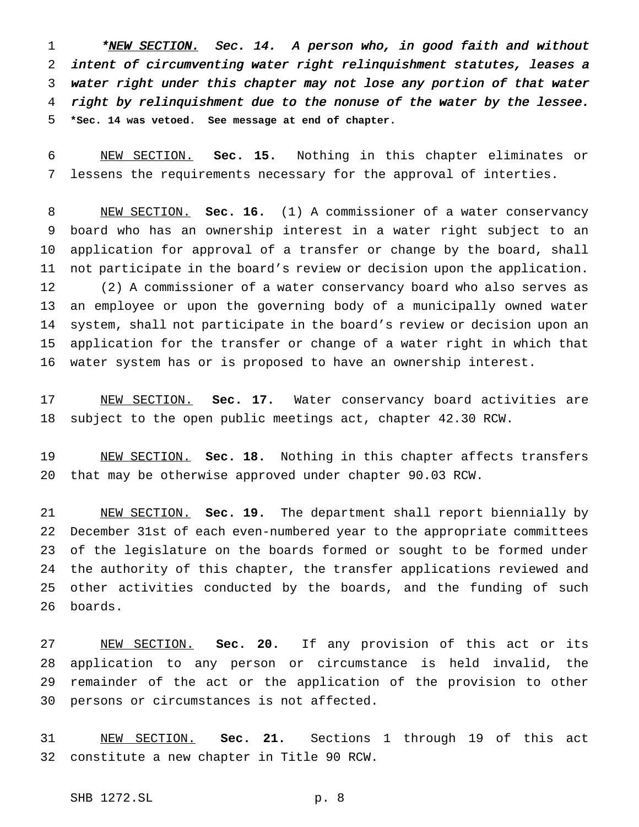1 \*NEW SECTION. Sec. 14. A person who, in good faith and without intent of circumventing water right relinquishment statutes, leases <sup>a</sup> water right under this chapter may not lose any portion of that water right by relinquishment due to the nonuse of the water by the lessee. **\*Sec. 14 was vetoed. See message at end of chapter.**

 NEW SECTION. **Sec. 15.** Nothing in this chapter eliminates or lessens the requirements necessary for the approval of interties.

 NEW SECTION. **Sec. 16.** (1) A commissioner of a water conservancy board who has an ownership interest in a water right subject to an application for approval of a transfer or change by the board, shall not participate in the board's review or decision upon the application. (2) A commissioner of a water conservancy board who also serves as an employee or upon the governing body of a municipally owned water system, shall not participate in the board's review or decision upon an application for the transfer or change of a water right in which that water system has or is proposed to have an ownership interest.

 NEW SECTION. **Sec. 17.** Water conservancy board activities are subject to the open public meetings act, chapter 42.30 RCW.

 NEW SECTION. **Sec. 18.** Nothing in this chapter affects transfers that may be otherwise approved under chapter 90.03 RCW.

 NEW SECTION. **Sec. 19.** The department shall report biennially by December 31st of each even-numbered year to the appropriate committees of the legislature on the boards formed or sought to be formed under the authority of this chapter, the transfer applications reviewed and other activities conducted by the boards, and the funding of such boards.

 NEW SECTION. **Sec. 20.** If any provision of this act or its application to any person or circumstance is held invalid, the remainder of the act or the application of the provision to other persons or circumstances is not affected.

 NEW SECTION. **Sec. 21.** Sections 1 through 19 of this act constitute a new chapter in Title 90 RCW.